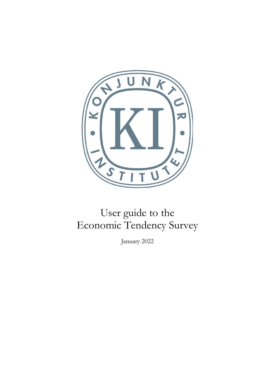

# User guide to the Economic Tendency Survey

January 2022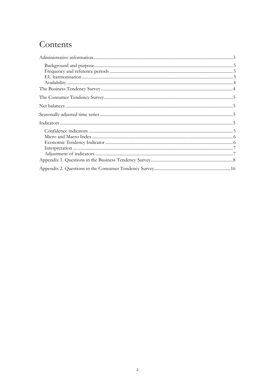## Contents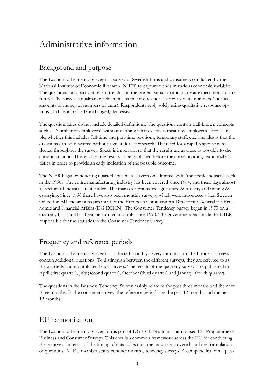## <span id="page-2-0"></span>Administrative information

### <span id="page-2-1"></span>Background and purpose

The Economic Tendency Survey is a survey of Swedish firms and consumers conducted by the National Institute of Economic Research (NIER) to capture trends in various economic variables. The questions look partly at recent trends and the present situation and partly at expectations of the future. The survey is qualitative, which means that it does not ask for absolute numbers (such as amounts of money or numbers of units). Respondents reply solely using qualitative response options, such as increased/unchanged/decreased.

The questionnaires do not include detailed definitions. The questions contain well-known concepts such as "number of employees" without defining what exactly is meant by employees – for example, whether this includes full-time and part-time positions, temporary staff, etc. The idea is that the questions can be answered without a great deal of research. The need for a rapid response is reflected throughout the survey. Speed is important so that the results are as close as possible to the current situation. This enables the results to be published before the corresponding traditional statistics in order to provide an early indication of the possible outcome.

The NIER began conducting quarterly business surveys on a limited scale (the textile industry) back in the 1950s. The entire manufacturing industry has been covered since 1964, and these days almost all sectors of industry are included. The main exceptions are agriculture & forestry and mining & quarrying. Since 1996 there have also been monthly surveys, which were introduced when Sweden joined the EU and are a requirement of the European Commission's Directorate-General for Economic and Financial Affairs (DG ECFIN). The Consumer Tendency Survey began in 1973 on a quarterly basis and has been performed monthly since 1993. The government has made the NIER responsible for the statistics in the Consumer Tendency Survey.

### <span id="page-2-2"></span>Frequency and reference periods

The Economic Tendency Survey is conducted monthly. Every third month, the business surveys contain additional questions. To distinguish between the different surveys, they are referred to as the quarterly and monthly tendency surveys. The results of the quarterly surveys are published in April (first quarter), July (second quarter), October (third quarter) and January (fourth quarter).

The questions in the Business Tendency Survey mainly relate to the past three months and the next three months. In the consumer survey, the reference periods are the past 12 months and the next 12 months.

### <span id="page-2-3"></span>EU harmonisation

The Economic Tendency Survey forms part of DG ECFIN's Joint Harmonised EU Programme of Business and Consumer Surveys. This entails a common framework across the EU for conducting these surveys in terms of the timing of data collection, the industries covered, and the formulation of questions. All EU member states conduct monthly tendency surveys. A complete list of all ques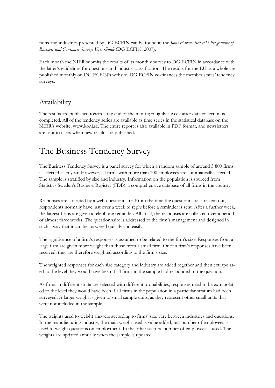tions and industries presented by DG ECFIN can be found in the *Joint Harmonised EU Programme of Business and Consumer Surveys User Guide* (DG ECFIN, 2007).

Each month the NIER submits the results of its monthly survey to DG ECFIN in accordance with the latter's guidelines for questions and industry classification. The results for the EU as a whole are published monthly on DG ECFIN's website. DG ECFIN co-finances the member states' tendency surveys.

### <span id="page-3-0"></span>Availability

The results are published towards the end of the month; roughly a week after data collection is completed. All of the tendency series are available as time series in the statistical database on the NIER's website, www.konj.se. The entire report is also available in PDF format, and newsletters are sent to users when new results are published.

## <span id="page-3-1"></span>The Business Tendency Survey

The Business Tendency Survey is a panel survey for which a random sample of around 5 800 firms is selected each year. However, all firms with more than 100 employees are automatically selected. The sample is stratified by size and industry. Information on the population is sourced from Statistics Sweden's Business Register (FDB), a comprehensive database of all firms in the country.

Responses are collected by a web-questionnaire. From the time the questionnaires are sent out, respondents normally have just over a week to reply before a reminder is sent. After a further week, the largest firms are given a telephone reminder. All in all, the responses are collected over a period of almost three weeks. The questionnaire is addressed to the firm's management and designed in such a way that it can be answered quickly and easily.

The significance of a firm's responses is assumed to be related to the firm's size. Responses from a large firm are given more weight than those from a small firm. Once a firm's responses have been received, they are therefore weighted according to the firm's size.

The weighted responses for each size category and industry are added together and then extrapolated to the level they would have been if all firms in the sample had responded to the question.

As firms in different strata are selected with different probabilities, responses need to be extrapolated to the level they would have been if all firms in the population in a particular stratum had been surveyed. A larger weight is given to small sample units, as they represent other small units that were not included in the sample.

The weights used to weight answers according to firms' size vary between industries and questions. In the manufacturing industry, the main weight used is value added, but number of employees is used to weight questions on employment. In the other sectors, number of employees is used. The weights are updated annually when the sample is updated.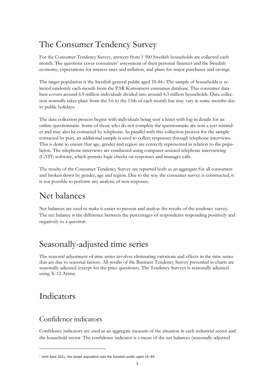## <span id="page-4-0"></span>The Consumer Tendency Survey

For the Consumer Tendency Survey, answers from 1 500 Swedish households are collected each month. The questions cover consumers' assessment of their personal finances and the Swedish economy, expectations for interest rates and inflation, and plans for major purchases and savings.

The target population is the Swedish general public aged 18-84.<sup>1</sup> The sample of households is selected randomly each month from the PAR Konsument consumer database. This consumer database covers around 6.9 million individuals divided into around 4.3 million households. Data collection normally takes place from the 1st to the 15th of each month but may vary in some months due to public holidays.

The data collection process begins with individuals being sent a letter with log-in details for an online questionnaire. Some of those who do not complete the questionnaire are sent a text reminder and may also be contacted by telephone. In parallel with this collection process for the sample contacted by post, an additional sample is used to collect responses through telephone interviews. This is done to ensure that age, gender and region are correctly represented in relation to the population. The telephone interviews are conducted using computer-assisted telephone interviewing (CATI) software, which permits logic checks on responses and manages calls.

The results of the Consumer Tendency Survey are reported both as an aggregate for all consumers and broken down by gender, age and region. Due to the way the consumer survey is constructed, it is not possible to perform any analysis of non-response.

## <span id="page-4-1"></span>Net balances

Net balances are used to make it easier to present and analyse the results of the tendency survey. The net balance is the difference between the percentages of respondents responding positively and negatively to a question.

## <span id="page-4-2"></span>Seasonally-adjusted time series

The seasonal adjustment of time series involves eliminating variations and effects in the time series that are due to seasonal factors. All results of the Business Tendency Survey presented in charts are seasonally adjusted (except for the price questions). The Tendency Surveys is seasonally adjusted using X-12-Arima.

## <span id="page-4-3"></span>Indicators

### <span id="page-4-4"></span>Confidence indicators

Confidence indicators are used as an aggregate measure of the situation in each industrial sector and the household sector. The confidence indicator is a mean of the net balances (seasonally adjusted

 $1$  Until April 2021, the target population was the Swedish public aged 16-84.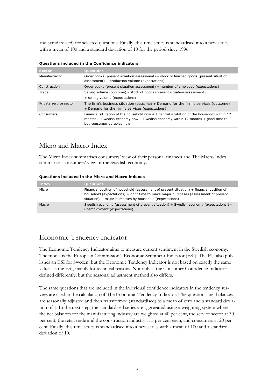and standardised) for selected questions. Finally, this time series is standardised into a new series with a mean of 100 and a standard deviation of 10 for the period since 1996.

| Sector.                | <b>Questions</b>                                                                                                                                                                                           |
|------------------------|------------------------------------------------------------------------------------------------------------------------------------------------------------------------------------------------------------|
| Manufacturing          | Order books (present situation assessment) – stock of finished goods (present situation<br>assessment) + production volume (expectations)                                                                  |
| Construction           | Order books (present situation assessment) + number of employed (expectations)                                                                                                                             |
| Trade                  | Selling volume (outcome) – stock of goods (present situation assessment)<br>+ selling volume (expectations)                                                                                                |
| Private service sector | The firm's business situation (outcome) + Demand for the firm's services (outcome)<br>+ Demand for the firm's services (expectations)                                                                      |
| Consumers              | Financial situtation of the household now + Financial situtation of the household within 12<br>months + Swedish economy now + Swedish economy within 12 months + good time to<br>buy consumer durables now |
|                        |                                                                                                                                                                                                            |

#### **Questions included in the Confidence indicators**

### <span id="page-5-0"></span>Micro and Macro Index

The Micro Index summarises consumers' view of their personal finances and The Macro Index summarises consumers' view of the Swedish economy.

#### **Questions included in the Micro and Macro indexes**

| Index | <b>Questions</b>                                                                                                                                                                                                                              |
|-------|-----------------------------------------------------------------------------------------------------------------------------------------------------------------------------------------------------------------------------------------------|
| Micro | Financial position of household (assessment of present situation) + financial position of<br>household (expectations) + right time to make major purchases (assessment of present<br>situation) + major purchases by household (expectations) |
| Macro | Swedish economy (assessment of present situation) + Swedish economy (expectations) -<br>unemployment (expectations)                                                                                                                           |

### <span id="page-5-1"></span>Economic Tendency Indicator

The Economic Tendency Indicator aims to measure current sentiment in the Swedish economy. The model is the European Commission's Economic Sentiment Indicator (ESI). The EU also publishes an ESI for Sweden, but the Economic Tendency Indicator is not based on exactly the same values as the ESI, mainly for technical reasons. Not only is the Consumer Confidence Indicator defined differently, but the seasonal adjustment method also differs.

The same questions that are included in the individual confidence indicators in the tendency surveys are used in the calculation of The Economic Tendency Indicator. The questions' net balances are seasonally adjusted and then transformed (standardised) to a mean of zero and a standard deviation of 1. In the next step, the standardised series are aggregated using a weighting system where the net balances for the manufacturing industry are weighted at 40 per cent, the service sector at 30 per cent, the retail trade and the construction industry at 5 per cent each, and consumers at 20 per cent. Finally, this time series is standardised into a new series with a mean of 100 and a standard deviation of 10.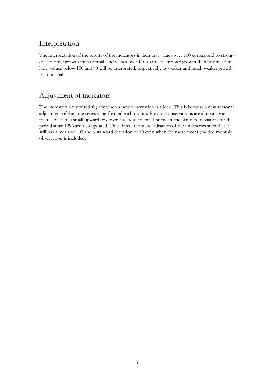### <span id="page-6-0"></span>Interpretation

The interpretation of the results of the indicators is then that values over 100 correspond to stronger economic growth than normal, and values over 110 to much stronger growth than normal. Similarly, values below 100 and 90 will be interpreted, respectively, as weaker and much weaker growth than normal.

## <span id="page-6-1"></span>Adjustment of indicators

The indicators are revised slightly when a new observation is added. This is because a new seasonal adjustment of the time series is performed each month. Previous observations are almost always then subject to a small upward or downward adjustment. The mean and standard deviation for the period since 1996 are also updated. This affects the standardisation of the time series such that it still has a mean of 100 and a standard deviation of 10 even when the most recently added monthly observation is included.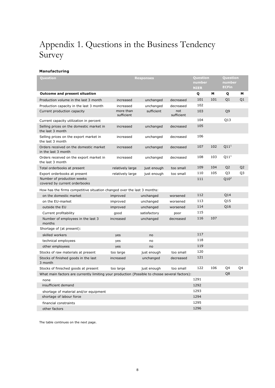## <span id="page-7-0"></span>Appendix 1. Questions in the Business Tendency Survey

#### **Manufacturing**

| Question                                                                                       |                         | <b>Responses</b> |                   | Question<br>number<br><b>NIER</b> |     | Question<br>number<br><b>ECFin</b> |                |
|------------------------------------------------------------------------------------------------|-------------------------|------------------|-------------------|-----------------------------------|-----|------------------------------------|----------------|
| <b>Outcome and present situation</b>                                                           |                         |                  |                   | Q                                 | м   | Q                                  | м              |
| Production volume in the last 3 month                                                          | increased               | unchanged        | decreased         | 101                               | 101 | Q1                                 | Q1             |
| Production capacity in the last 3 month                                                        | increased               | unchanged        | decreased         | 102                               |     |                                    |                |
| Current production capacity                                                                    | more than<br>sufficient | sufficient       | not<br>sufficient | 103                               |     | Q <sub>9</sub>                     |                |
| Current capacity utilization in percent                                                        |                         |                  |                   | 104                               |     | Q13                                |                |
| Selling prices on the domestic market in<br>the last 3 month                                   | increased               | unchanged        | decreased         | 105                               |     |                                    |                |
| Selling prices on the export market in<br>the last 3 month                                     | increased               | unchanged        | decreased         | 106                               |     |                                    |                |
| Orders received on the domestic market<br>in the last 3 month                                  | increased               | unchanged        | decreased         | 107                               | 102 | Q11 <sup>1</sup>                   |                |
| Orders received on the export market in<br>the last 3 month                                    | increased               | unchanged        | decreased         | 108                               | 103 | Q11 <sup>1</sup>                   |                |
| Total orderbooks at present                                                                    | relatively large        | just enough      | too small         | 109                               | 104 | Q <sub>2</sub>                     | Q <sub>2</sub> |
| Export orderbooks at present                                                                   | relatively large        | just enough      | too small         | 110                               | 105 | Q <sub>3</sub>                     | Q <sub>3</sub> |
| Number of production weeks<br>covered by current orderbooks                                    |                         |                  |                   | 111                               |     | Q10 <sup>2</sup>                   |                |
| How has the firms competitive situation changed over the last 3 months:                        |                         |                  |                   |                                   |     |                                    |                |
| on the domestic market                                                                         | improved                | unchanged        | worsened          | 112                               |     | Q14                                |                |
| on the EU-market                                                                               | improved                | unchanged        | worsened          | 113                               |     | Q15                                |                |
| outside the EU                                                                                 | improved                | unchanged        | worsened          | 114                               |     | Q16                                |                |
| Current profitability                                                                          | good                    | satisfactory     | poor              | 115                               |     |                                    |                |
| Number of employees in the last 3<br>months                                                    | increased               | unchanged        | decreased         | 116                               | 107 |                                    |                |
| Shortage of (at present):                                                                      |                         |                  |                   |                                   |     |                                    |                |
| skilled workers                                                                                | yes                     | no               |                   | 117                               |     |                                    |                |
| technical employees                                                                            | yes                     | no               |                   | 118                               |     |                                    |                |
| other employees                                                                                | yes                     | no               |                   | 119                               |     |                                    |                |
| Stocks of raw materials at present                                                             | too large               | just enough      | too small         | 120                               |     |                                    |                |
| Stocks of finished goods in the last<br>3 month                                                | increased               | unchanged        | decreased         | 121                               |     |                                    |                |
| Stocks of finisched goods at present                                                           | too large               | just enough      | too small         | 122                               | 106 | Q4                                 | Q4             |
| What main factors are currently limiting your production (Possible to chosse several factors): |                         |                  |                   |                                   |     | Q8                                 |                |
| none                                                                                           |                         |                  |                   | 1291                              |     |                                    |                |
| insufficient demand                                                                            |                         |                  |                   | 1292                              |     |                                    |                |
| shortage of material and/or equipment                                                          |                         |                  |                   | 1293                              |     |                                    |                |
| shortage of labour force                                                                       |                         |                  |                   | 1294                              |     |                                    |                |
| financial constraints                                                                          |                         |                  |                   | 1295                              |     |                                    |                |
| other factors                                                                                  |                         |                  |                   | 1296                              |     |                                    |                |

The table continues on the next page.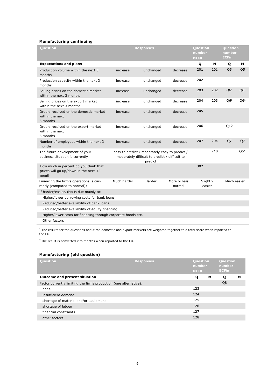#### **Manufacturing continuing**

| <b>Question</b>                                                                         |                                                | <b>Responses</b>                                          |                        | <b>Question</b><br>number<br><b>NIER</b> |     | <b>Question</b><br>number<br><b>ECFin</b> |                 |  |
|-----------------------------------------------------------------------------------------|------------------------------------------------|-----------------------------------------------------------|------------------------|------------------------------------------|-----|-------------------------------------------|-----------------|--|
| <b>Expectations and plans</b>                                                           |                                                |                                                           |                        | Q                                        | м   | Q                                         | м               |  |
| Production volume within the next 3<br>months                                           | increase                                       | unchanged                                                 | decrease               | 201                                      | 201 | Q <sub>5</sub>                            | Q <sub>5</sub>  |  |
| Production capacity within the next 3<br>months                                         | increase                                       | unchanged                                                 | decrease               | 202                                      |     |                                           |                 |  |
| Selling prices on the domestic market<br>within the next 3 months                       | increase                                       | unchanged                                                 | decrease               | 203                                      | 202 | Q6 <sup>1</sup>                           | Q6 <sup>1</sup> |  |
| Selling prices on the export market<br>within the next 3 months                         | increase                                       | unchanged                                                 | decrease               | 204                                      | 203 | Q6 <sup>1</sup>                           | Q6 <sup>1</sup> |  |
| Orders received on the domestic market<br>within the next<br>3 months                   | increase                                       | unchanged                                                 | decrease               | 205                                      |     |                                           |                 |  |
| Orders received on the export market<br>within the next<br>3 months                     | increase                                       | unchanged                                                 | decrease               | 206                                      |     | Q12                                       |                 |  |
| Number of employees within the next 3<br>months                                         | increase                                       | unchanged                                                 | decrease               | 207                                      | 204 | Q7                                        | Q7              |  |
| The future development of your<br>business situation is currently                       | easy to predict / moderately easy to predict / | moderately difficult to predict / difficult to<br>predict |                        |                                          | 210 |                                           | Q51             |  |
| How much in percent do you think that<br>prices will go up/down in the next 12<br>month |                                                |                                                           |                        | 302                                      |     |                                           |                 |  |
| Financing the firm's operations is cur-<br>rently (compared to normal):                 | Much harder                                    | Harder                                                    | More or less<br>normal | Slightly<br>easier                       |     | Much easier                               |                 |  |
| If harder/easier, this is due mainly to:                                                |                                                |                                                           |                        |                                          |     |                                           |                 |  |
| Higher/lower borrowing costs for bank loans                                             |                                                |                                                           |                        |                                          |     |                                           |                 |  |
| Reduced/better availability of bank loans                                               |                                                |                                                           |                        |                                          |     |                                           |                 |  |
| Reduced/better availability of equity financing                                         |                                                |                                                           |                        |                                          |     |                                           |                 |  |
| Higher/lower costs for financing through corporate bonds etc.                           |                                                |                                                           |                        |                                          |     |                                           |                 |  |
| Other factors                                                                           |                                                |                                                           |                        |                                          |     |                                           |                 |  |

 $1$  The results for the questions about the domestic and export markets are weighted together to a total score when reported to the EU.

 $2$  The result is converted into months when reported to the EU.

#### **Manufacturing (old question)**

| <b>Question</b>                                                   | <b>Responses</b> | Question<br>number<br><b>NIER</b> |   | Question<br>number<br><b>ECFIn</b> |   |
|-------------------------------------------------------------------|------------------|-----------------------------------|---|------------------------------------|---|
| <b>Outcome and present situation</b>                              |                  | Q                                 | м | Q                                  | м |
| Factor currently limiting the firms production (one alternative): |                  |                                   |   | Q8                                 |   |
| none                                                              |                  | 123                               |   |                                    |   |
| insufficient demand                                               |                  | 124                               |   |                                    |   |
| shortage of material and/or equipment                             |                  | 125                               |   |                                    |   |
| shortage of labour                                                |                  | 126                               |   |                                    |   |
| financial constraints                                             |                  | 127                               |   |                                    |   |
| other factors                                                     |                  | 128                               |   |                                    |   |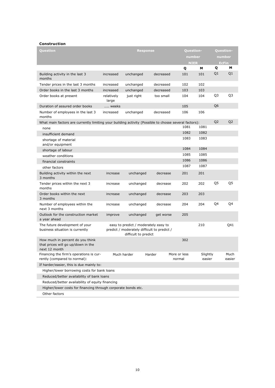#### **Construction**

| <b>Question</b>                                                                                       |                     | <b>Response</b>                                                                                             |           | Question-              |                    |                | <b>Question-</b> |
|-------------------------------------------------------------------------------------------------------|---------------------|-------------------------------------------------------------------------------------------------------------|-----------|------------------------|--------------------|----------------|------------------|
|                                                                                                       |                     |                                                                                                             |           | number                 |                    |                | number           |
|                                                                                                       |                     |                                                                                                             |           | <b>NIER</b>            |                    |                | <b>EcFin</b>     |
|                                                                                                       |                     |                                                                                                             |           | Q                      | м                  | Q              | м                |
| Building activity in the last 3<br>months                                                             | increased           | unchanged                                                                                                   | decreased | 101                    | 101                | Q1             | Q1               |
| Tender prices in the last 3 months                                                                    | increased           | unchanged                                                                                                   | decreased | 102                    | 102                |                |                  |
| Order books in the last 3 months                                                                      | increased           | unchanged                                                                                                   | decreased | 103                    | 103                |                |                  |
| Order books at present                                                                                | relatively<br>large | just right                                                                                                  | too small | 104                    | 104                | Q3             | Q3               |
| Duration of assured order books                                                                       | weeks               |                                                                                                             |           | 105                    |                    | Q <sub>6</sub> |                  |
| Number of employees in the last 3<br>months                                                           | increased           | unchanged                                                                                                   | decreased | 106                    | 106                |                |                  |
| What main factors are currently limiting your building activity (Possible to chosse several factors): |                     |                                                                                                             |           |                        |                    | Q <sub>2</sub> | Q <sub>2</sub>   |
| none                                                                                                  |                     |                                                                                                             |           | 1081                   | 1081               |                |                  |
| insufficient demand                                                                                   |                     |                                                                                                             |           | 1082                   | 1082               |                |                  |
| shortage of material<br>and/or equipment                                                              |                     |                                                                                                             |           | 1083                   | 1083               |                |                  |
| shortage of labour                                                                                    |                     |                                                                                                             |           | 1084                   | 1084               |                |                  |
| weather conditions                                                                                    |                     |                                                                                                             |           | 1085                   | 1085               |                |                  |
| financial constraints                                                                                 |                     |                                                                                                             |           | 1086                   | 1086               |                |                  |
| other factors                                                                                         |                     |                                                                                                             |           | 1087                   | 1087               |                |                  |
| Building activity within the next<br>3 months                                                         | increase            | unchanged                                                                                                   | decrease  | 201                    | 201                |                |                  |
| Tender prices within the next 3<br>months                                                             | increase            | unchanged                                                                                                   | decrease  | 202                    | 202                | Q5             | Q5               |
| Order books within the next<br>3 months                                                               | increase            | unchanged                                                                                                   | decrease  | 203                    | 203                |                |                  |
| Number of employees within the<br>next 3 months                                                       | increase            | unchanged                                                                                                   | decrease  | 204                    | 204                | Q4             | Q4               |
| Outlook for the construction market<br>a year ahead                                                   | improve             | unchanged                                                                                                   | get worse | 205                    |                    |                |                  |
| The future development of your<br>business situation is currently                                     |                     | easy to predict / moderately easy to<br>predict / moderately difficult to predict /<br>difficult to predict |           |                        | 210                |                | Q41              |
| How much in percent do you think<br>that prices will go up/down in the<br>next 12 month               |                     |                                                                                                             |           | 302                    |                    |                |                  |
| Financing the firm's operations is cur-<br>rently (compared to normal):                               |                     | Much harder                                                                                                 | Harder    | More or less<br>normal | Slightly<br>easier |                | Much<br>easier   |
| If harder/easier, this is due mainly to:                                                              |                     |                                                                                                             |           |                        |                    |                |                  |
| Higher/lower borrowing costs for bank loans                                                           |                     |                                                                                                             |           |                        |                    |                |                  |
| Reduced/better availability of bank loans                                                             |                     |                                                                                                             |           |                        |                    |                |                  |
| Reduced/better availability of equity financing                                                       |                     |                                                                                                             |           |                        |                    |                |                  |
| Higher/lower costs for financing through corporate bonds etc.                                         |                     |                                                                                                             |           |                        |                    |                |                  |
| Other factors                                                                                         |                     |                                                                                                             |           |                        |                    |                |                  |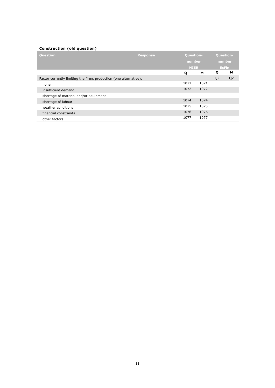#### **Construction (old question)**

| Question                                                          | <b>Response</b> |             | <b>Question-</b> |                | <b>Question-</b> |  |  |
|-------------------------------------------------------------------|-----------------|-------------|------------------|----------------|------------------|--|--|
|                                                                   |                 | number      |                  | number         |                  |  |  |
|                                                                   |                 | <b>NIER</b> |                  | <b>EcFin</b>   |                  |  |  |
|                                                                   |                 | Q           | м                | Q              | м                |  |  |
| Factor currently limiting the firms production (one alternative): |                 |             |                  | Q <sub>2</sub> | Q <sub>2</sub>   |  |  |
| none                                                              |                 | 1071        | 1071             |                |                  |  |  |
| insufficient demand                                               |                 | 1072        | 1072             |                |                  |  |  |
| shortage of material and/or equipment                             |                 |             |                  |                |                  |  |  |
| shortage of labour                                                |                 | 1074        | 1074             |                |                  |  |  |
| weather conditions                                                |                 | 1075        | 1075             |                |                  |  |  |
| financial constraints                                             |                 | 1076        | 1076             |                |                  |  |  |
| other factors                                                     |                 | 1077        | 1077             |                |                  |  |  |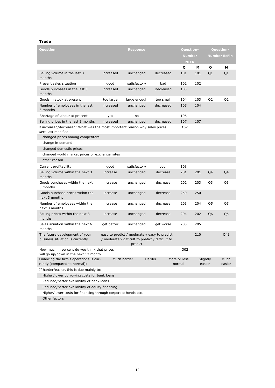#### **Trade**

| Question                                                                                          |             | <b>Response</b>                                                                                             |           | Question-              |                    |                | <b>Question-</b>    |
|---------------------------------------------------------------------------------------------------|-------------|-------------------------------------------------------------------------------------------------------------|-----------|------------------------|--------------------|----------------|---------------------|
|                                                                                                   |             |                                                                                                             |           | <b>Number</b>          |                    |                | <b>Number EcFin</b> |
|                                                                                                   |             |                                                                                                             |           | <b>NIER</b>            |                    |                |                     |
|                                                                                                   |             |                                                                                                             |           | Q                      | М                  | Q              | м                   |
| Selling volume in the last 3<br>months                                                            | increased   | unchanged                                                                                                   | decreased | 101                    | 101                | Q <sub>1</sub> | Q <sub>1</sub>      |
| Present sales situation                                                                           | good        | satisfactory                                                                                                | bad       | 102                    | 102                |                |                     |
| Goods purchases in the last 3<br>months                                                           | increased   | unchanged                                                                                                   | Decreased | 103                    |                    |                |                     |
| Goods in stock at present                                                                         | too large   | large enough                                                                                                | too small | 104                    | 103                | Q <sub>2</sub> | Q <sub>2</sub>      |
| Number of employees in the last<br>3 months                                                       | increased   | unchanged                                                                                                   | decreased | 105                    | 104                |                |                     |
| Shortage of labour at present                                                                     | yes         | no                                                                                                          |           | 106                    |                    |                |                     |
| Selling prices in the last 3 months                                                               | increased   | unchanged                                                                                                   | decreased | 107                    | 107                |                |                     |
| If increased/decreased: What was the most important reason why sales prices<br>were last modified |             |                                                                                                             |           | 152                    |                    |                |                     |
| changed prices among competitors                                                                  |             |                                                                                                             |           |                        |                    |                |                     |
| change in demand                                                                                  |             |                                                                                                             |           |                        |                    |                |                     |
| changed domestic prices                                                                           |             |                                                                                                             |           |                        |                    |                |                     |
| changed world market prices or exchange rates                                                     |             |                                                                                                             |           |                        |                    |                |                     |
| other reason                                                                                      |             |                                                                                                             |           |                        |                    |                |                     |
| Current profitability                                                                             | good        | satisfactory                                                                                                | poor      | 108                    |                    |                |                     |
| Selling volume within the next 3<br>months                                                        | increase    | unchanged                                                                                                   | decrease  | 201                    | 201                | Q4             | Q4                  |
| Goods purchases within the next<br>3 months                                                       | increase    | unchanged                                                                                                   | decrease  | 202                    | 203                | Q3             | Q3                  |
| Goods purchase prices within the<br>next 3 months                                                 | increase    | unchanged                                                                                                   | decrease  | 250                    | 250                |                |                     |
| Number of employees within the<br>next 3 months                                                   | increase    | unchanged                                                                                                   | decrease  | 203                    | 204                | Q5             | Q5                  |
| Selling prices within the next 3<br>months                                                        | increase    | unchanged                                                                                                   | decrease  | 204                    | 202                | Q6             | Q6                  |
| Sales situation within the next 6<br>months                                                       | get better  | unchanged                                                                                                   | get worse | 205                    | 205                |                |                     |
| The future development of your<br>business situation is currently                                 |             | easy to predict / moderately easy to predict<br>/ moderately difficult to predict / difficult to<br>predict |           |                        | 210                |                | Q41                 |
| How much in percent do you think that prices<br>will go up/down in the next 12 month              |             |                                                                                                             |           | 302                    |                    |                |                     |
| Financing the firm's operations is cur-<br>rently (compared to normal):                           | Much harder |                                                                                                             | Harder    | More or less<br>normal | Slightly<br>easier |                | Much<br>easier      |
| If harder/easier, this is due mainly to:                                                          |             |                                                                                                             |           |                        |                    |                |                     |
| Higher/lower borrowing costs for bank loans                                                       |             |                                                                                                             |           |                        |                    |                |                     |
| Reduced/better availability of bank loans                                                         |             |                                                                                                             |           |                        |                    |                |                     |
| Reduced/better availability of equity financing                                                   |             |                                                                                                             |           |                        |                    |                |                     |
| Higher/lower costs for financing through corporate bonds etc.                                     |             |                                                                                                             |           |                        |                    |                |                     |
| Other factors                                                                                     |             |                                                                                                             |           |                        |                    |                |                     |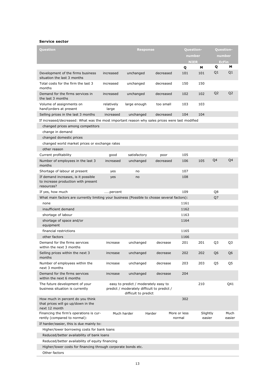#### **Service sector**

| Question                                                                                       |                     | <b>Response</b>                                                                                             |           | <b>Question-</b>       |                    |                | Question-      |
|------------------------------------------------------------------------------------------------|---------------------|-------------------------------------------------------------------------------------------------------------|-----------|------------------------|--------------------|----------------|----------------|
|                                                                                                |                     |                                                                                                             |           | number                 |                    | number         |                |
|                                                                                                |                     |                                                                                                             |           | <b>NIER</b>            |                    |                | <b>EcFin</b>   |
|                                                                                                |                     |                                                                                                             |           | Q                      | м                  | Q<br>Q1        | М<br>Q1        |
| Development of the firms business<br>situation the last 3 months                               | increased           | unchanged                                                                                                   | decreased | 101                    | 101                |                |                |
| Total costs for the firm the last 3<br>months                                                  | increased           | unchanged                                                                                                   | decreased | 150                    | 150                |                |                |
| Demand for the firms services in<br>the last 3 months                                          | increased           | unchanged                                                                                                   | decreased | 102                    | 102                | Q2             | Q <sub>2</sub> |
| Volume of assignments on<br>hand\orders at present                                             | relatively<br>large | large enough                                                                                                | too small | 103                    | 103                |                |                |
| Selling prices in the last 3 months                                                            | increased           | unchanged                                                                                                   | decreased | 104                    | 104                |                |                |
| If increased/decreased: What was the most important reason why sales prices were last modified |                     |                                                                                                             |           |                        |                    |                |                |
| changed prices among competitors                                                               |                     |                                                                                                             |           |                        |                    |                |                |
| change in demand                                                                               |                     |                                                                                                             |           |                        |                    |                |                |
| changed domestic prices                                                                        |                     |                                                                                                             |           |                        |                    |                |                |
| changed world market prices or exchange rates                                                  |                     |                                                                                                             |           |                        |                    |                |                |
| other reason                                                                                   |                     |                                                                                                             |           |                        |                    |                |                |
| Current profitability                                                                          | good                | satisfactory                                                                                                | poor      | 105                    |                    |                |                |
| Number of employees in the last 3<br>months                                                    | increased           | unchanged                                                                                                   | decreased | 106                    | 105                | Q4             | Q4             |
| Shortage of labour at present                                                                  | yes                 | no                                                                                                          |           | 107                    |                    |                |                |
| If demand increases, is it possible<br>to increase production with present<br>resources?       | yes                 | no                                                                                                          |           | 108                    |                    |                |                |
| If yes, how much                                                                               | percent             |                                                                                                             |           | 109                    |                    | Q8             |                |
| What main factors are currently limiting your business (Possible to chosse several factors):   |                     |                                                                                                             |           |                        |                    | Q7             |                |
| none                                                                                           |                     |                                                                                                             |           | 1161                   |                    |                |                |
| insufficient demand                                                                            |                     |                                                                                                             |           | 1162                   |                    |                |                |
| shortage of labour                                                                             |                     |                                                                                                             |           | 1163                   |                    |                |                |
| shortage of space and/or                                                                       |                     |                                                                                                             |           | 1164                   |                    |                |                |
| equipment                                                                                      |                     |                                                                                                             |           |                        |                    |                |                |
| financial restrictions                                                                         |                     |                                                                                                             |           | 1165                   |                    |                |                |
| other factors                                                                                  |                     |                                                                                                             |           | 1166                   |                    |                |                |
| Demand for the firms services<br>within the next 3 months                                      | increase            | unchanged                                                                                                   | decrease  | 201                    | 201                | Q3             | Q3             |
| Selling prices within the next 3<br>months                                                     | increase            | unchanged                                                                                                   | decrease  | 202                    | 202                | Q <sub>6</sub> | Q6             |
| Number of employees within the<br>next 3 months                                                | increase            | unchanged                                                                                                   | decrease  | 203                    | 203                | Q5             | Q5             |
| Demand for the firms services<br>within the next 6 months                                      | increase            | unchanged                                                                                                   | decrease  | 204                    |                    |                |                |
| The future development of your<br>business situation is currently                              |                     | easy to predict / moderately easy to<br>predict / moderately difficult to predict /<br>difficult to predict |           |                        | 210                |                | Q41            |
| How much in percent do you think<br>that prices will go up/down in the<br>next 12 month        |                     |                                                                                                             |           | 302                    |                    |                |                |
| Financing the firm's operations is cur-<br>rently (compared to normal):                        |                     | Much harder                                                                                                 | Harder    | More or less<br>normal | Slightly<br>easier |                | Much<br>easier |
| If harder/easier, this is due mainly to:                                                       |                     |                                                                                                             |           |                        |                    |                |                |
| Higher/lower borrowing costs for bank loans                                                    |                     |                                                                                                             |           |                        |                    |                |                |
| Reduced/better availability of bank loans                                                      |                     |                                                                                                             |           |                        |                    |                |                |
| Reduced/better availability of equity financing                                                |                     |                                                                                                             |           |                        |                    |                |                |
| Higher/lower costs for financing through corporate bonds etc.                                  |                     |                                                                                                             |           |                        |                    |                |                |
| Other factors                                                                                  |                     |                                                                                                             |           |                        |                    |                |                |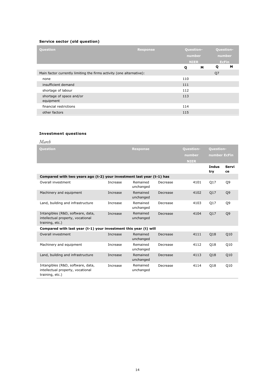#### **Service sector (old question)**

| <b>Question</b>                                                      | <b>Response</b> | Question-<br>number |    | Question-<br>number |   |
|----------------------------------------------------------------------|-----------------|---------------------|----|---------------------|---|
|                                                                      |                 | <b>NIER</b>         |    | <b>EcFin</b>        |   |
|                                                                      |                 | Q                   | м  | Q                   | м |
| Main factor currently limiting the firms activity (one alternative): |                 |                     | Q7 |                     |   |
| none                                                                 |                 | 110                 |    |                     |   |
| insufficient demand                                                  |                 | 111                 |    |                     |   |
| shortage of labour                                                   |                 | 112                 |    |                     |   |
| shortage of space and/or<br>equipment                                |                 | 113                 |    |                     |   |
| financial restrictions                                               |                 | 114                 |    |                     |   |
| other factors                                                        |                 | 115                 |    |                     |   |

#### **Investment questions**

| March                                                                                     |          |                       |          |                  |                     |                |
|-------------------------------------------------------------------------------------------|----------|-----------------------|----------|------------------|---------------------|----------------|
| <b>Question</b>                                                                           |          | <b>Response</b>       |          | <b>Ouestion-</b> | <b>Ouestion-</b>    |                |
|                                                                                           |          |                       |          | number           | number EcFin        |                |
|                                                                                           |          |                       |          | <b>NIER</b>      |                     |                |
|                                                                                           |          |                       |          |                  | <b>Indus</b><br>try | Servi<br>ce    |
| Compared with two years ago (t-2) your investment last year (t-1) has                     |          |                       |          |                  |                     |                |
| Overall investment                                                                        | Increase | Remained<br>unchanged | Decrease | 4101             | Q17                 | Q9             |
| Machinery and equipment                                                                   | Increase | Remained<br>unchanged | Decrease | 4102             | Q17                 | Q <sub>9</sub> |
| Land, building and infrastructure                                                         | Increase | Remained<br>unchanged | Decrease | 4103             | Q17                 | Q9             |
| Intangibles (R&D, software, data,<br>intellectual property, vocational<br>training, etc.) | Increase | Remained<br>unchanged | Decrease | 4104             | Q17                 | Q <sub>9</sub> |
| Compared with last year (t-1) your investment this year (t) will                          |          |                       |          |                  |                     |                |
| Overall investment                                                                        | Increase | Remained<br>unchanged | Decrease | 4111             | Q18                 | Q10            |
| Machinery and equipment                                                                   | Increase | Remained<br>unchanged | Decrease | 4112             | Q18                 | Q10            |
| Land, building and infrastructure                                                         | Increase | Remained<br>unchanged | Decrease | 4113             | Q18                 | Q10            |
| Intangibles (R&D, software, data,<br>intellectual property, vocational<br>training, etc.) | Increase | Remained<br>unchanged | Decrease | 4114             | Q18                 | Q10            |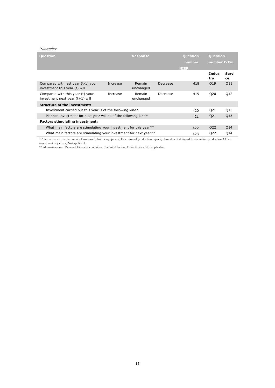#### *November*

| Question                                                            |          | <b>Response</b>     |          | <b>Question-</b><br>number | <b>Question-</b><br>number EcFin |                 |
|---------------------------------------------------------------------|----------|---------------------|----------|----------------------------|----------------------------------|-----------------|
|                                                                     |          |                     |          | <b>NIER</b>                |                                  |                 |
|                                                                     |          |                     |          |                            | Indus<br>try                     | Servi<br>ce     |
| Compared with last year (t-1) your<br>investment this year (t) will | Increase | Remain<br>unchanged | Decrease | 418                        | Q19                              | Q11             |
| Compared with this year (t) your<br>investment next year (t+1) will | Increase | Remain<br>unchanged | Decrease | 419                        | Q20                              | Q12             |
| <b>Structure of the investment:</b>                                 |          |                     |          |                            |                                  |                 |
| Investment carried out this year is of the following kind*          |          |                     |          | 420                        | Q21                              | Q13             |
| Planned investment for next year will be of the following kind*     |          |                     |          | 421                        | Q21                              | Q <sub>13</sub> |
| <b>Factors stimulating investment:</b>                              |          |                     |          |                            |                                  |                 |
| What main factors are stimulating your investment for this year**   |          |                     |          | 422                        | Q22                              | Q14             |
| What main factors are stimulating your investment for next year**   |          |                     |          | 423                        | Q22                              | Q14             |

\* Alternatives are: Replacement of worn out plant or equipment, Extension of production capacity, Investment designed to streamline production, Other investment objectives, Not applicable.

\*\* Alternatives are: Demand, Financial conditions, Technical factors, Other factors, Not applicable.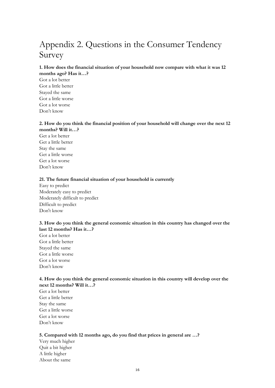## <span id="page-15-0"></span>Appendix 2. Questions in the Consumer Tendency Survey

#### **1. How does the financial situation of your household now compare with what it was 12 months ago? Has it…?**

Got a lot better Got a little better Stayed the same Got a little worse Got a lot worse Don't know

#### **2. How do you think the financial position of your household will change over the next 12 months? Will it…?**

Get a lot better Get a little better Stay the same Get a little worse Get a lot worse Don't know

#### **21. The future financial situation of your household is currently**

Easy to predict Moderately easy to predict Moderately difficult to predict Difficult to predict Don't know

#### **3. How do you think the general economic situation in this country has changed over the last 12 months? Has it…?**

Got a lot better Got a little better Stayed the same Got a little worse Got a lot worse Don't know

#### **4. How do you think the general economic situation in this country will develop over the next 12 months? Will it…?**

Get a lot better Get a little better Stay the same Get a little worse Get a lot worse Don't know

#### **5. Compared with 12 months ago, do you find that prices in general are …?**

Very much higher Quit a bit higher A little higher About the same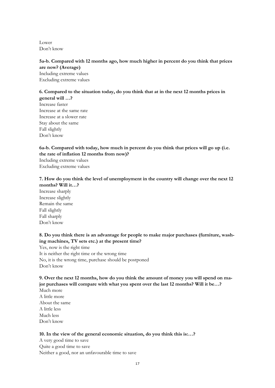Lower Don't know

#### **5a-b. Compared with 12 months ago, how much higher in percent do you think that prices are now? (Average)**

Including extreme values Excluding extreme values

#### **6. Compared to the situation today, do you think that at in the next 12 months prices in general will …?**

Increase faster Increase at the same rate Increase at a slower rate Stay about the same Fall slightly Don't know

#### **6a-b. Compared with today, how much in percent do you think that prices will go up (i.e. the rate of inflation 12 months from now)?**

Including extreme values Excluding extreme values

#### **7. How do you think the level of unemployment in the country will change over the next 12 months? Will it…?**

Increase sharply Increase slightly Remain the same Fall slightly Fall sharply Don't know

#### **8. Do you think there is an advantage for people to make major purchases (furniture, washing machines, TV sets etc.) at the present time?**

Yes, now is the right time It is neither the right time or the wrong time No, it is the wrong time, purchase should be postponed Don't know

### **9. Over the next 12 months, how do you think the amount of money you will spend on major purchases will compare with what you spent over the last 12 months? Will it be…?**

Much more A little more About the same A little less Much less Don't know

#### **10. In the view of the general economic situation, do you think this is:…?**

A very good time to save Quite a good time to save Neither a good, nor an unfavourable time to save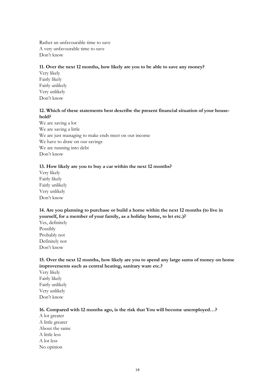Rather an unfavourable time to save A very unfavourable time to save Don't know

#### **11. Over the next 12 months, how likely are you to be able to save any money?**

Very likely Fairly likely Fairly unlikely Very unlikely Don't know

#### **12. Which of these statements best describe the present financial situation of your household?**

We are saving a lot We are saving a little We are just managing to make ends meet on our income We have to draw on our savings We are running into debt Don't know

#### **13. How likely are you to buy a car within the next 12 months?**

Very likely Fairly likely Fairly unlikely Very unlikely Don't know

#### **14. Are you planning to purchase or build a home within the next 12 months (to live in yourself, for a member of your family, as a holiday home, to let etc.)?**

Yes, definitely Possibly Probably not Definitely not Don't know

#### **15. Over the next 12 months, how likely are you to spend any large sums of money on home improvements such as central heating, sanitary ware etc.?**

Very likely Fairly likely Fairly unlikely Very unlikely Don't know

#### **16. Compared with 12 months ago, is the risk that You will become unemployed…?**

A lot greater A little greater About the same A little less A lot less No opinion